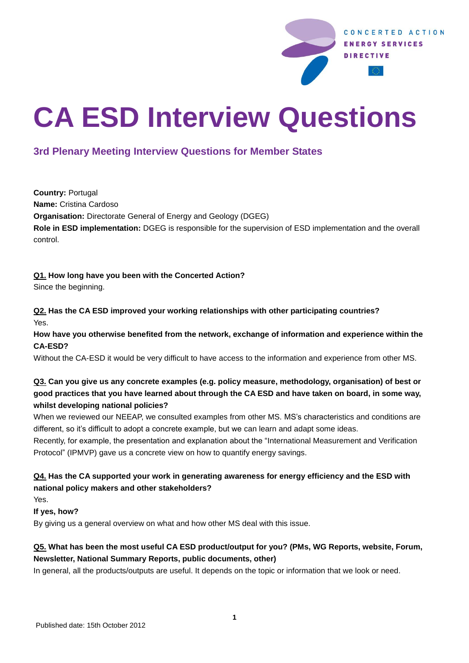

# **CA ESD Interview Questions**

## **3rd Plenary Meeting Interview Questions for Member States**

**Country:** Portugal **Name:** Cristina Cardoso **Organisation:** Directorate General of Energy and Geology (DGEG) **Role in ESD implementation:** DGEG is responsible for the supervision of ESD implementation and the overall control.

#### **Q1. How long have you been with the Concerted Action?**

Since the beginning.

**Q2. Has the CA ESD improved your working relationships with other participating countries?**  Yes.

**How have you otherwise benefited from the network, exchange of information and experience within the CA-ESD?** 

Without the CA-ESD it would be very difficult to have access to the information and experience from other MS.

#### **Q3. Can you give us any concrete examples (e.g. policy measure, methodology, organisation) of best or good practices that you have learned about through the CA ESD and have taken on board, in some way, whilst developing national policies?**

When we reviewed our NEEAP, we consulted examples from other MS. MS's characteristics and conditions are different, so it's difficult to adopt a concrete example, but we can learn and adapt some ideas.

Recently, for example, the presentation and explanation about the "International Measurement and Verification Protocol" (IPMVP) gave us a concrete view on how to quantify energy savings.

### **Q4. Has the CA supported your work in generating awareness for energy efficiency and the ESD with national policy makers and other stakeholders?**

Yes.

**If yes, how?**

By giving us a general overview on what and how other MS deal with this issue.

#### **Q5. What has been the most useful CA ESD product/output for you? (PMs, WG Reports, website, Forum, Newsletter, National Summary Reports, public documents, other)**

In general, all the products/outputs are useful. It depends on the topic or information that we look or need.